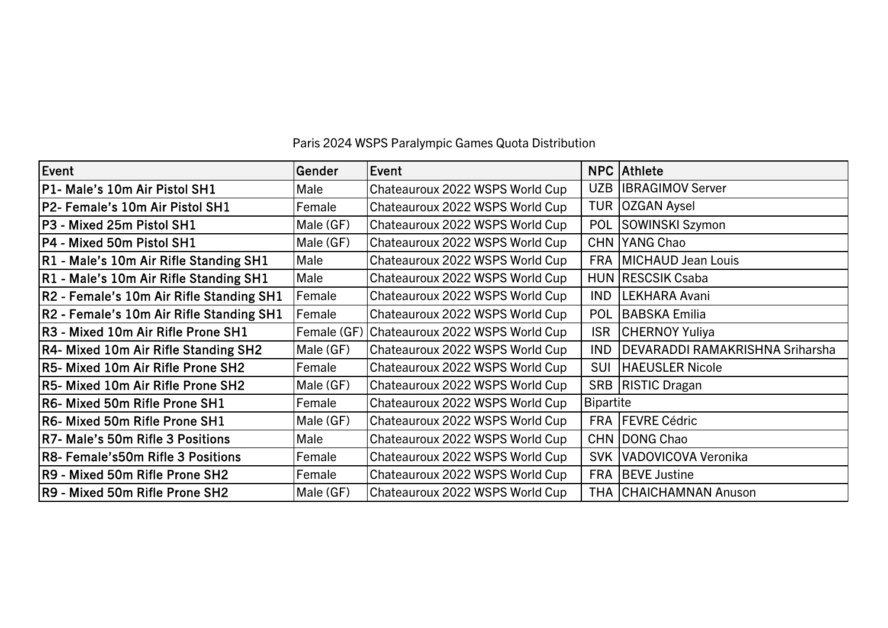| Event                                    | Gender      | Event                           |                  | <b>NPC Athlete</b>                     |
|------------------------------------------|-------------|---------------------------------|------------------|----------------------------------------|
| P1- Male's 10m Air Pistol SH1            | Male        | Chateauroux 2022 WSPS World Cup | <b>UZB</b>       | <b>IBRAGIMOV Server</b>                |
| P2- Female's 10m Air Pistol SH1          | Female      | Chateauroux 2022 WSPS World Cup | <b>TUR</b>       | <b>OZGAN Aysel</b>                     |
| P3 - Mixed 25m Pistol SH1                | Male (GF)   | Chateauroux 2022 WSPS World Cup | POL              | SOWINSKI Szymon                        |
| P4 - Mixed 50m Pistol SH1                | Male (GF)   | Chateauroux 2022 WSPS World Cup | <b>CHN</b>       | YANG Chao                              |
| R1 - Male's 10m Air Rifle Standing SH1   | Male        | Chateauroux 2022 WSPS World Cup | <b>FRA</b>       | MICHAUD Jean Louis                     |
| R1 - Male's 10m Air Rifle Standing SH1   | Male        | Chateauroux 2022 WSPS World Cup |                  | <b>HUN RESCSIK Csaba</b>               |
| R2 - Female's 10m Air Rifle Standing SH1 | Female      | Chateauroux 2022 WSPS World Cup | <b>IND</b>       | LEKHARA Avani                          |
| R2 - Female's 10m Air Rifle Standing SH1 | Female      | Chateauroux 2022 WSPS World Cup | POL              | <b>BABSKA Emilia</b>                   |
| R3 - Mixed 10m Air Rifle Prone SH1       | Female (GF) | Chateauroux 2022 WSPS World Cup | <b>ISR</b>       | <b>CHERNOY Yuliya</b>                  |
| R4- Mixed 10m Air Rifle Standing SH2     | Male (GF)   | Chateauroux 2022 WSPS World Cup | <b>IND</b>       | <b>DEVARADDI RAMAKRISHNA Sriharsha</b> |
| R5- Mixed 10m Air Rifle Prone SH2        | Female      | Chateauroux 2022 WSPS World Cup | SUI              | <b>HAEUSLER Nicole</b>                 |
| R5- Mixed 10m Air Rifle Prone SH2        | Male (GF)   | Chateauroux 2022 WSPS World Cup |                  | <b>SRB   RISTIC Dragan</b>             |
| R6- Mixed 50m Rifle Prone SH1            | Female      | Chateauroux 2022 WSPS World Cup | <b>Bipartite</b> |                                        |
| R6- Mixed 50m Rifle Prone SH1            | Male (GF)   | Chateauroux 2022 WSPS World Cup | <b>FRA</b>       | <b>FEVRE Cédric</b>                    |
| R7- Male's 50m Rifle 3 Positions         | Male        | Chateauroux 2022 WSPS World Cup |                  | CHN DONG Chao                          |
| R8- Female's50m Rifle 3 Positions        | Female      | Chateauroux 2022 WSPS World Cup | <b>SVK</b>       | VADOVICOVA Veronika                    |
| R9 - Mixed 50m Rifle Prone SH2           | Female      | Chateauroux 2022 WSPS World Cup | <b>FRA</b>       | <b>BEVE Justine</b>                    |
| R9 - Mixed 50m Rifle Prone SH2           | Male (GF)   | Chateauroux 2022 WSPS World Cup |                  | <b>THA CHAICHAMNAN Anuson</b>          |

Paris 2024 WSPS Paralympic Games Quota Distribution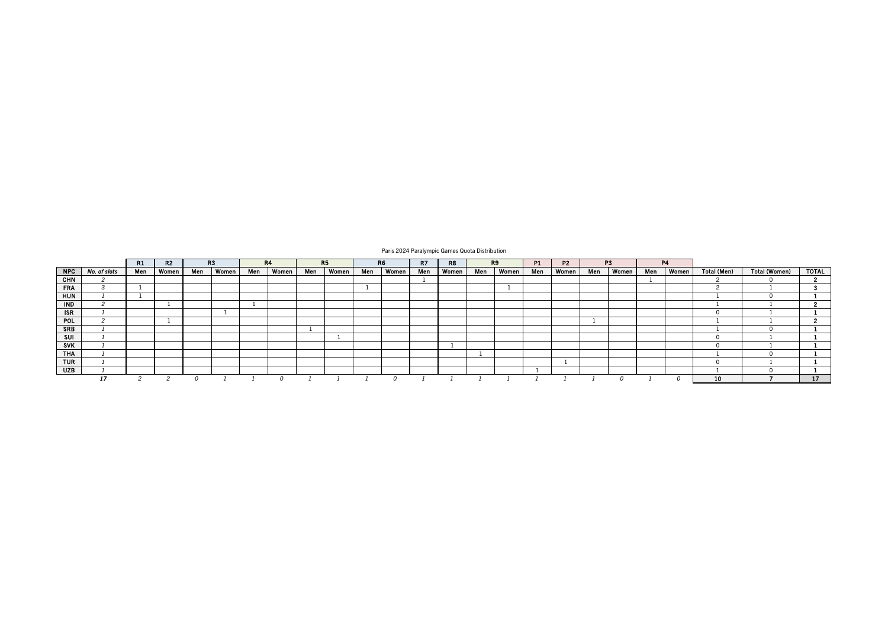|            |              | R1  | R2    |     | R3    |     | <b>R4</b> |     | R <sub>5</sub> |     | R <sub>6</sub> | R7  | R8    |     | R9    | P <sub>1</sub> | <b>P2</b> |     | P <sub>3</sub> |     | <b>P4</b> |             |               |              |
|------------|--------------|-----|-------|-----|-------|-----|-----------|-----|----------------|-----|----------------|-----|-------|-----|-------|----------------|-----------|-----|----------------|-----|-----------|-------------|---------------|--------------|
| <b>NPC</b> | No. of slots | Men | Women | Men | Women | Men | Women     | Men | <b>Women</b>   | Men | Women          | Men | Women | Men | Women | Men            | Women     | Men | Women          | Men | Women     | Total (Men) | Total (Women) | <b>TOTAL</b> |
| <b>CHN</b> |              |     |       |     |       |     |           |     |                |     |                |     |       |     |       |                |           |     |                |     |           |             |               |              |
| <b>FRA</b> |              |     |       |     |       |     |           |     |                |     |                |     |       |     |       |                |           |     |                |     |           |             |               |              |
| <b>HUN</b> |              |     |       |     |       |     |           |     |                |     |                |     |       |     |       |                |           |     |                |     |           |             |               |              |
| <b>IND</b> |              |     |       |     |       |     |           |     |                |     |                |     |       |     |       |                |           |     |                |     |           |             |               |              |
| <b>ISR</b> |              |     |       |     |       |     |           |     |                |     |                |     |       |     |       |                |           |     |                |     |           |             |               |              |
| <b>POL</b> |              |     |       |     |       |     |           |     |                |     |                |     |       |     |       |                |           |     |                |     |           |             |               |              |
| <b>SRB</b> |              |     |       |     |       |     |           |     |                |     |                |     |       |     |       |                |           |     |                |     |           |             |               |              |
| SUI        |              |     |       |     |       |     |           |     |                |     |                |     |       |     |       |                |           |     |                |     |           |             |               |              |
| <b>SVK</b> |              |     |       |     |       |     |           |     |                |     |                |     |       |     |       |                |           |     |                |     |           |             |               |              |
| <b>THA</b> |              |     |       |     |       |     |           |     |                |     |                |     |       |     |       |                |           |     |                |     |           |             |               |              |
| <b>TUR</b> |              |     |       |     |       |     |           |     |                |     |                |     |       |     |       |                |           |     |                |     |           |             |               |              |
| <b>UZB</b> |              |     |       |     |       |     |           |     |                |     |                |     |       |     |       |                |           |     |                |     |           |             |               |              |
|            |              |     |       |     |       |     |           |     |                |     |                |     |       |     |       |                |           |     |                |     |           | 10          |               | 17           |

Paris 2024 Paralympic Games Quota Distribution